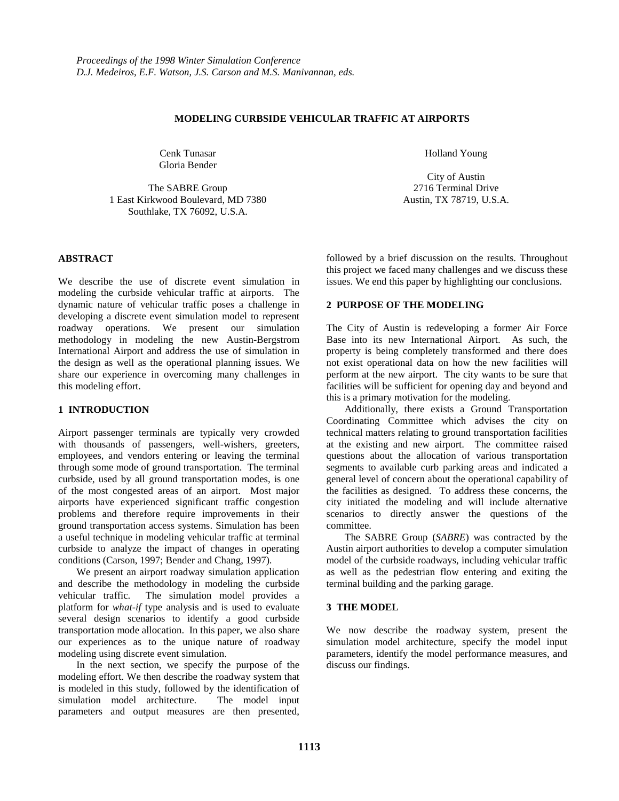## **MODELING CURBSIDE VEHICULAR TRAFFIC AT AIRPORTS**

Cenk Tunasar Gloria Bender

The SABRE Group 1 East Kirkwood Boulevard, MD 7380 Southlake, TX 76092, U.S.A.

Holland Young

City of Austin 2716 Terminal Drive Austin, TX 78719, U.S.A.

# **ABSTRACT**

We describe the use of discrete event simulation in modeling the curbside vehicular traffic at airports. The dynamic nature of vehicular traffic poses a challenge in developing a discrete event simulation model to represent roadway operations. We present our simulation methodology in modeling the new Austin-Bergstrom International Airport and address the use of simulation in the design as well as the operational planning issues. We share our experience in overcoming many challenges in this modeling effort.

### **1 INTRODUCTION**

Airport passenger terminals are typically very crowded with thousands of passengers, well-wishers, greeters, employees, and vendors entering or leaving the terminal through some mode of ground transportation. The terminal curbside, used by all ground transportation modes, is one of the most congested areas of an airport. Most major airports have experienced significant traffic congestion problems and therefore require improvements in their ground transportation access systems. Simulation has been a useful technique in modeling vehicular traffic at terminal curbside to analyze the impact of changes in operating conditions (Carson, 1997; Bender and Chang, 1997).

We present an airport roadway simulation application and describe the methodology in modeling the curbside vehicular traffic. The simulation model provides a platform for *what-if* type analysis and is used to evaluate several design scenarios to identify a good curbside transportation mode allocation. In this paper, we also share our experiences as to the unique nature of roadway modeling using discrete event simulation.

In the next section, we specify the purpose of the modeling effort. We then describe the roadway system that is modeled in this study, followed by the identification of simulation model architecture. The model input parameters and output measures are then presented,

followed by a brief discussion on the results. Throughout this project we faced many challenges and we discuss these issues. We end this paper by highlighting our conclusions.

# **2 PURPOSE OF THE MODELING**

The City of Austin is redeveloping a former Air Force Base into its new International Airport. As such, the property is being completely transformed and there does not exist operational data on how the new facilities will perform at the new airport. The city wants to be sure that facilities will be sufficient for opening day and beyond and this is a primary motivation for the modeling.

Additionally, there exists a Ground Transportation Coordinating Committee which advises the city on technical matters relating to ground transportation facilities at the existing and new airport. The committee raised questions about the allocation of various transportation segments to available curb parking areas and indicated a general level of concern about the operational capability of the facilities as designed. To address these concerns, the city initiated the modeling and will include alternative scenarios to directly answer the questions of the committee.

The SABRE Group (*SABRE*) was contracted by the Austin airport authorities to develop a computer simulation model of the curbside roadways, including vehicular traffic as well as the pedestrian flow entering and exiting the terminal building and the parking garage.

### **3 THE MODEL**

We now describe the roadway system, present the simulation model architecture, specify the model input parameters, identify the model performance measures, and discuss our findings.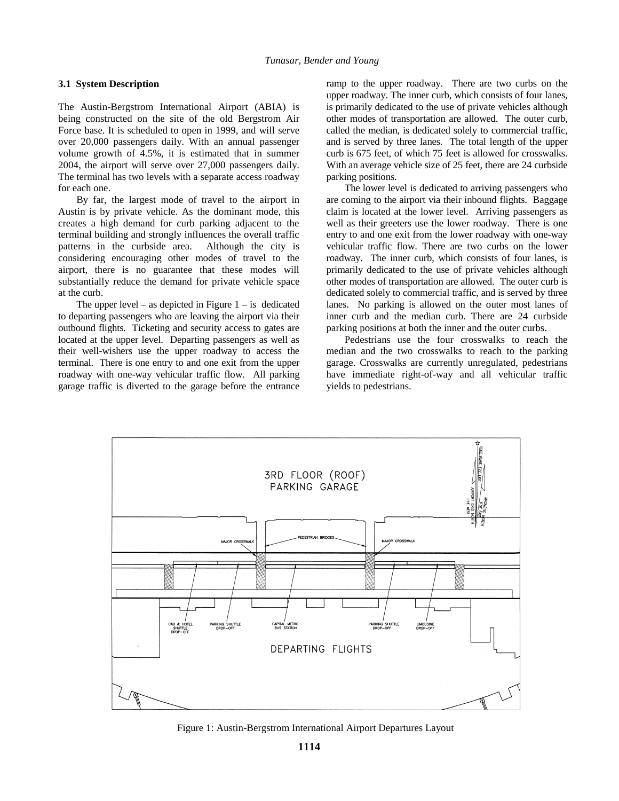### **3.1 System Description**

The Austin-Bergstrom International Airport (ABIA) is being constructed on the site of the old Bergstrom Air Force base. It is scheduled to open in 1999, and will serve over 20,000 passengers daily. With an annual passenger volume growth of 4.5%, it is estimated that in summer 2004, the airport will serve over 27,000 passengers daily. The terminal has two levels with a separate access roadway for each one.

By far, the largest mode of travel to the airport in Austin is by private vehicle. As the dominant mode, this creates a high demand for curb parking adjacent to the terminal building and strongly influences the overall traffic patterns in the curbside area. Although the city is considering encouraging other modes of travel to the airport, there is no guarantee that these modes will substantially reduce the demand for private vehicle space at the curb.

The upper level – as depicted in Figure  $1 -$  is dedicated to departing passengers who are leaving the airport via their outbound flights. Ticketing and security access to gates are located at the upper level. Departing passengers as well as their well-wishers use the upper roadway to access the terminal. There is one entry to and one exit from the upper roadway with one-way vehicular traffic flow. All parking garage traffic is diverted to the garage before the entrance

ramp to the upper roadway. There are two curbs on the upper roadway. The inner curb, which consists of four lanes, is primarily dedicated to the use of private vehicles although other modes of transportation are allowed. The outer curb, called the median, is dedicated solely to commercial traffic, and is served by three lanes. The total length of the upper curb is 675 feet, of which 75 feet is allowed for crosswalks. With an average vehicle size of 25 feet, there are 24 curbside parking positions.

The lower level is dedicated to arriving passengers who are coming to the airport via their inbound flights. Baggage claim is located at the lower level. Arriving passengers as well as their greeters use the lower roadway. There is one entry to and one exit from the lower roadway with one-way vehicular traffic flow. There are two curbs on the lower roadway. The inner curb, which consists of four lanes, is primarily dedicated to the use of private vehicles although other modes of transportation are allowed. The outer curb is dedicated solely to commercial traffic, and is served by three lanes. No parking is allowed on the outer most lanes of inner curb and the median curb. There are 24 curbside parking positions at both the inner and the outer curbs.

Pedestrians use the four crosswalks to reach the median and the two crosswalks to reach to the parking garage. Crosswalks are currently unregulated, pedestrians have immediate right-of-way and all vehicular traffic yields to pedestrians.



Figure 1: Austin-Bergstrom International Airport Departures Layout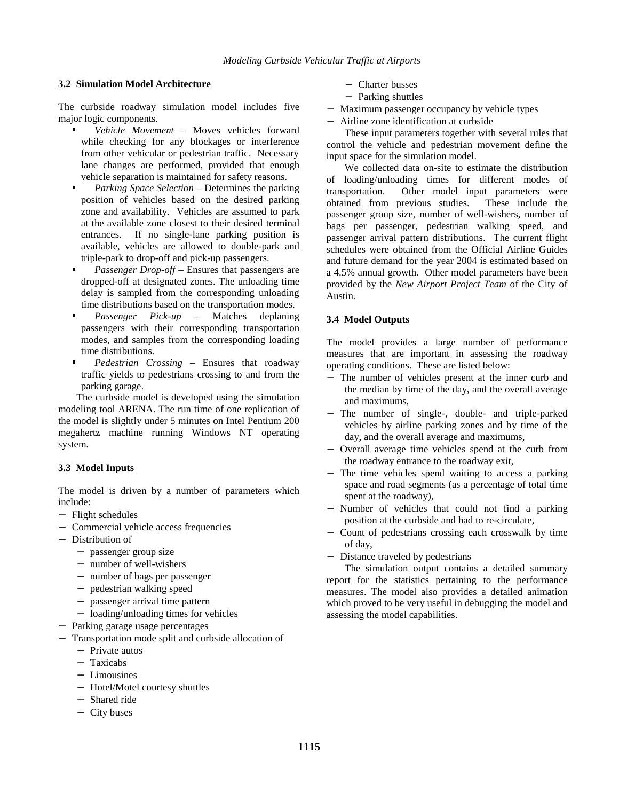# **3.2 Simulation Model Architecture**

The curbside roadway simulation model includes five major logic components.

 *Vehicle Movement* – Moves vehicles forward while checking for any blockages or interference from other vehicular or pedestrian traffic. Necessary lane changes are performed, provided that enough vehicle separation is maintained for safety reasons.

*Parking Space Selection – Determines the parking* position of vehicles based on the desired parking zone and availability. Vehicles are assumed to park at the available zone closest to their desired terminal entrances. If no single-lane parking position is available, vehicles are allowed to double-park and triple-park to drop-off and pick-up passengers.

 *Passenger Drop-off –* Ensures that passengers are dropped-off at designated zones. The unloading time delay is sampled from the corresponding unloading time distributions based on the transportation modes.

- *Passenger Pick-up –* Matches deplaning passengers with their corresponding transportation modes, and samples from the corresponding loading time distributions.
- *Pedestrian Crossing –* Ensures that roadway traffic yields to pedestrians crossing to and from the parking garage.

The curbside model is developed using the simulation modeling tool ARENA. The run time of one replication of the model is slightly under 5 minutes on Intel Pentium 200 megahertz machine running Windows NT operating system.

# **3.3 Model Inputs**

The model is driven by a number of parameters which include:

- − Flight schedules
- − Commercial vehicle access frequencies
- − Distribution of
	- − passenger group size
	- − number of well-wishers
	- − number of bags per passenger
	- − pedestrian walking speed
	- − passenger arrival time pattern
	- − loading/unloading times for vehicles
- − Parking garage usage percentages
- − Transportation mode split and curbside allocation of
	- − Private autos
	- − Taxicabs
	- − Limousines
	- − Hotel/Motel courtesy shuttles
	- − Shared ride
	- − City buses
- − Charter busses
- − Parking shuttles
- − Maximum passenger occupancy by vehicle types
- − Airline zone identification at curbside

These input parameters together with several rules that control the vehicle and pedestrian movement define the input space for the simulation model.

We collected data on-site to estimate the distribution of loading/unloading times for different modes of transportation. Other model input parameters were obtained from previous studies. These include the passenger group size, number of well-wishers, number of bags per passenger, pedestrian walking speed, and passenger arrival pattern distributions. The current flight schedules were obtained from the Official Airline Guides and future demand for the year 2004 is estimated based on a 4.5% annual growth. Other model parameters have been provided by the *New Airport Project Team* of the City of Austin.

# **3.4 Model Outputs**

The model provides a large number of performance measures that are important in assessing the roadway operating conditions. These are listed below:

- − The number of vehicles present at the inner curb and the median by time of the day, and the overall average and maximums,
- − The number of single-, double- and triple-parked vehicles by airline parking zones and by time of the day, and the overall average and maximums,
- − Overall average time vehicles spend at the curb from the roadway entrance to the roadway exit,
- − The time vehicles spend waiting to access a parking space and road segments (as a percentage of total time spent at the roadway),
- − Number of vehicles that could not find a parking position at the curbside and had to re-circulate,
- − Count of pedestrians crossing each crosswalk by time of day,
- − Distance traveled by pedestrians

The simulation output contains a detailed summary report for the statistics pertaining to the performance measures. The model also provides a detailed animation which proved to be very useful in debugging the model and assessing the model capabilities.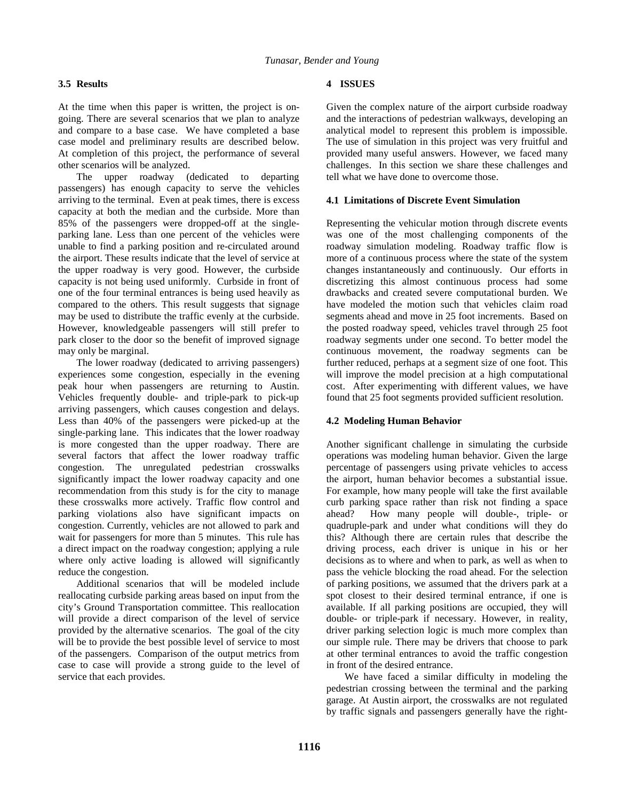## **3.5 Results**

At the time when this paper is written, the project is ongoing. There are several scenarios that we plan to analyze and compare to a base case. We have completed a base case model and preliminary results are described below. At completion of this project, the performance of several other scenarios will be analyzed.

The upper roadway (dedicated to departing passengers) has enough capacity to serve the vehicles arriving to the terminal. Even at peak times, there is excess capacity at both the median and the curbside. More than 85% of the passengers were dropped-off at the singleparking lane. Less than one percent of the vehicles were unable to find a parking position and re-circulated around the airport. These results indicate that the level of service at the upper roadway is very good. However, the curbside capacity is not being used uniformly. Curbside in front of one of the four terminal entrances is being used heavily as compared to the others. This result suggests that signage may be used to distribute the traffic evenly at the curbside. However, knowledgeable passengers will still prefer to park closer to the door so the benefit of improved signage may only be marginal.

The lower roadway (dedicated to arriving passengers) experiences some congestion, especially in the evening peak hour when passengers are returning to Austin. Vehicles frequently double- and triple-park to pick-up arriving passengers, which causes congestion and delays. Less than 40% of the passengers were picked-up at the single-parking lane. This indicates that the lower roadway is more congested than the upper roadway. There are several factors that affect the lower roadway traffic congestion. The unregulated pedestrian crosswalks significantly impact the lower roadway capacity and one recommendation from this study is for the city to manage these crosswalks more actively. Traffic flow control and parking violations also have significant impacts on congestion. Currently, vehicles are not allowed to park and wait for passengers for more than 5 minutes. This rule has a direct impact on the roadway congestion; applying a rule where only active loading is allowed will significantly reduce the congestion.

Additional scenarios that will be modeled include reallocating curbside parking areas based on input from the city's Ground Transportation committee. This reallocation will provide a direct comparison of the level of service provided by the alternative scenarios. The goal of the city will be to provide the best possible level of service to most of the passengers. Comparison of the output metrics from case to case will provide a strong guide to the level of service that each provides.

### **4 ISSUES**

Given the complex nature of the airport curbside roadway and the interactions of pedestrian walkways, developing an analytical model to represent this problem is impossible. The use of simulation in this project was very fruitful and provided many useful answers. However, we faced many challenges. In this section we share these challenges and tell what we have done to overcome those.

## **4.1 Limitations of Discrete Event Simulation**

Representing the vehicular motion through discrete events was one of the most challenging components of the roadway simulation modeling. Roadway traffic flow is more of a continuous process where the state of the system changes instantaneously and continuously. Our efforts in discretizing this almost continuous process had some drawbacks and created severe computational burden. We have modeled the motion such that vehicles claim road segments ahead and move in 25 foot increments. Based on the posted roadway speed, vehicles travel through 25 foot roadway segments under one second. To better model the continuous movement, the roadway segments can be further reduced, perhaps at a segment size of one foot. This will improve the model precision at a high computational cost. After experimenting with different values, we have found that 25 foot segments provided sufficient resolution.

# **4.2 Modeling Human Behavior**

Another significant challenge in simulating the curbside operations was modeling human behavior. Given the large percentage of passengers using private vehicles to access the airport, human behavior becomes a substantial issue. For example, how many people will take the first available curb parking space rather than risk not finding a space ahead? How many people will double-, triple- or quadruple-park and under what conditions will they do this? Although there are certain rules that describe the driving process, each driver is unique in his or her decisions as to where and when to park, as well as when to pass the vehicle blocking the road ahead. For the selection of parking positions, we assumed that the drivers park at a spot closest to their desired terminal entrance, if one is available. If all parking positions are occupied, they will double- or triple-park if necessary. However, in reality, driver parking selection logic is much more complex than our simple rule. There may be drivers that choose to park at other terminal entrances to avoid the traffic congestion in front of the desired entrance.

We have faced a similar difficulty in modeling the pedestrian crossing between the terminal and the parking garage. At Austin airport, the crosswalks are not regulated by traffic signals and passengers generally have the right-